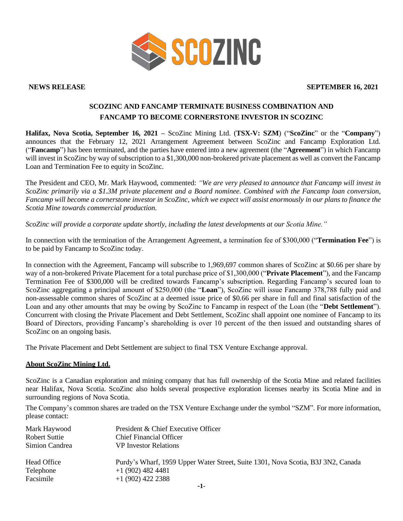

# **NEWS RELEASE SEPTEMBER 16, 2021**

# **SCOZINC AND FANCAMP TERMINATE BUSINESS COMBINATION AND FANCAMP TO BECOME CORNERSTONE INVESTOR IN SCOZINC**

**Halifax, Nova Scotia, September 16, 2021 –** ScoZinc Mining Ltd. (**TSX-V: SZM**) ("**ScoZinc**" or the "**Company**") announces that the February 12, 2021 Arrangement Agreement between ScoZinc and Fancamp Exploration Ltd. ("**Fancamp**") has been terminated, and the parties have entered into a new agreement (the "**Agreement**") in which Fancamp will invest in ScoZinc by way of subscription to a \$1,300,000 non-brokered private placement as well as convert the Fancamp Loan and Termination Fee to equity in ScoZinc.

The President and CEO, Mr. Mark Haywood, commented: *"We are very pleased to announce that Fancamp will invest in ScoZinc primarily via a \$1.3M private placement and a Board nominee. Combined with the Fancamp loan conversion, Fancamp will become a cornerstone investor in ScoZinc, which we expect will assist enormously in our plans to finance the Scotia Mine towards commercial production.*

*ScoZinc will provide a corporate update shortly, including the latest developments at our Scotia Mine."*

In connection with the termination of the Arrangement Agreement, a termination fee of \$300,000 ("**Termination Fee**") is to be paid by Fancamp to ScoZinc today.

In connection with the Agreement, Fancamp will subscribe to 1,969,697 common shares of ScoZinc at \$0.66 per share by way of a non-brokered Private Placement for a total purchase price of \$1,300,000 ("**Private Placement**"), and the Fancamp Termination Fee of \$300,000 will be credited towards Fancamp's subscription. Regarding Fancamp's secured loan to ScoZinc aggregating a principal amount of \$250,000 (the "**Loan**"), ScoZinc will issue Fancamp 378,788 fully paid and non-assessable common shares of ScoZinc at a deemed issue price of \$0.66 per share in full and final satisfaction of the Loan and any other amounts that may be owing by ScoZinc to Fancamp in respect of the Loan (the "**Debt Settlement**"). Concurrent with closing the Private Placement and Debt Settlement, ScoZinc shall appoint one nominee of Fancamp to its Board of Directors, providing Fancamp's shareholding is over 10 percent of the then issued and outstanding shares of ScoZinc on an ongoing basis.

The Private Placement and Debt Settlement are subject to final TSX Venture Exchange approval.

### **About ScoZinc Mining Ltd.**

ScoZinc is a Canadian exploration and mining company that has full ownership of the Scotia Mine and related facilities near Halifax, Nova Scotia. ScoZinc also holds several prospective exploration licenses nearby its Scotia Mine and in surrounding regions of Nova Scotia.

The Company's common shares are traded on the TSX Venture Exchange under the symbol "SZM". For more information, please contact:

| Mark Haywood   | President & Chief Executive Officer                                              |
|----------------|----------------------------------------------------------------------------------|
| Robert Suttie  | <b>Chief Financial Officer</b>                                                   |
| Simion Candrea | <b>VP</b> Investor Relations                                                     |
| Head Office    | Purdy's Wharf, 1959 Upper Water Street, Suite 1301, Nova Scotia, B3J 3N2, Canada |
| Telephone      | $+1(902)$ 482 4481                                                               |
| Facsimile      | $+1(902)$ 422 2388                                                               |
|                |                                                                                  |